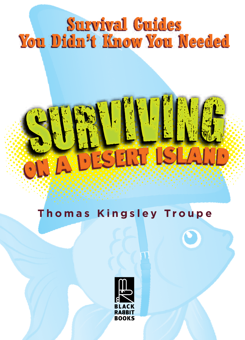## **Survival Guides You Didn't Know You Needed**

# SURVIVING S **CERT**

## **Thomas Kingsley Troupe**

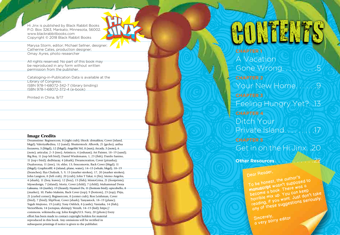P.O. Box 3263, Mankato, Minnesota, 56002. www.blackrabbitbooks.com Copyright © 2018 Black Rabbit Books

Marysa Storm, editor; Michael Sellner, designer; Catherine Cates, production designer; Omay Ayres, photo researcher

All rights reserved. No part of this book may be reproduced in any form without written permission from the publisher.

Cataloging-in-Publication Data is available at the Library of Congress. ISBN 978-1-68072-342-7 (library binding) ISBN 978-1-68072-372-4 (e-book)

Printed in China. 9/17

### Image Credits

Dreamstime: Regissercom, 8 (right crab); iStock: drmakkoy, Cover (island, bkgd); ValeriyaRedina, 12 (sand); Shutterstock: Alhovik, 21 (gecko); anfisa focusova, 3 (bkgd), 12 (bkgd); Angeliki Vel, 8 (sun); Arcady, 3 (note), 6 (note); articular, 2–3 (tree); Artisticco, 4 (exhaust); Art Painter, 18–19 (sand); Big Boy, 11 (top left bird); Daniel Wiedemann, 1, 23 (fish); Danilo Sanino, 11 (top r bird); dedMazay, 4 (shark); Dreamcreation, Cover (piranha); Dualororua, 11 (tree), 16; ekler, 13; frescomovie, Back Cover (bkgd); 11 (bkgd); GraphicsRF, 4 (island, plane, water), 14–15 (whale, bkgd), 18–19 (branches); Ilya Chalyuk, 5, 9, 13 (marker strokes), 17, 20 (marker strokes); John Langton, 8 (left crab), 20 (crab); John T Takai, 6 (fin); Memo Angeles, 4 (shark), 11 (boy, leaves), 12 (boy), 15 (fish); MintoGrina, 21 (footprints); Mjosedesign, 7 (island); Moriz, Cover (child), 7 (child); Muhammad Desta Laksana, 18 (turtle), 19 (lizard); Nyamol Ds, 11 (bottom bird); opicobello, 8 (marker), 10; Pasko Maksim, Back Cover (top); 9 (bottom), 23 (top); Pitju, 21 (curled corner); Regissercom, 8 (center crab); Ron Leishman, Cover (bird), 7 (bird); SlipFloat, Cover (shark); Tanyastock, 18–19 (plane); Teguh Mujiono, 19 (crab); Tony Oshlick, 8 (castle); Vaniatka, 14 (fish); VectorShots, 14 (octopus, shrimp); Verzzh, 14–15 (kid); https:// commons. wikimedia.org: John Knight/U.S. Navy, 20 (photo) Every effort has been made to contact copyright holders for material reproduced in this book. Any omissions will be rectified in subsequent printings if notice is given to the publisher.

A Vacation Gone Wrong......... Your New Home......9 Feeling Hungry Yet?. .13 Ditch Your Private Island. . . . . . . . .17 Get in on the Hi Jinx. .20 **ORIGINAL SERVICE COORNEL COORNEL SERVICE COORNEL COORNEL COORNEL COORNEL COORNEL COORNEL COORNEL COORNEL COORNEL COORNEL COORNEL COORNEL COORNEL COORNEL COORNEL COORNEL COORNEL COORNEL COORNEL COORNEL COORNEL COORNEL COOR** 

Dear Reader,<br>
To be honest, the author's<br>
manuscript wasn't supposed to<br>
manuscript wasn't supposed to<br>
become a book. There was a<br>
horrible mix up. You can keep<br>
horrible mix up. You can keep<br>
reading, if you want. Just d

Sincerely,<br>a very sorry editor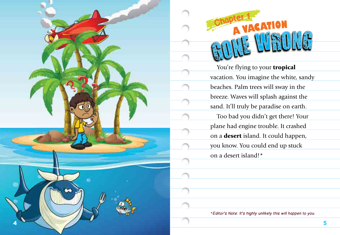



You're flying to your **tropical** vacation. You imagine the white, sandy beaches. Palm trees will sway in the breeze. Waves will splash against the sand. It'll truly be paradise on earth. Too bad you didn't get there! Your plane had engine trouble. It crashed on a desert island. It could happen, you know. You could end up stuck **Chapter 1**<br>
YACATION<br>
You're flying to your **tropic**<br>
You're flying to your **tropic**<br>
vacation. You imagine the whi<br>
beaches. Palm trees will sway i<br>
breeze. Waves will splash again<br>
sand. It'll truly be paradise on<br>
Too

\*Editor's Note: It's highly unlikely this will happen to you.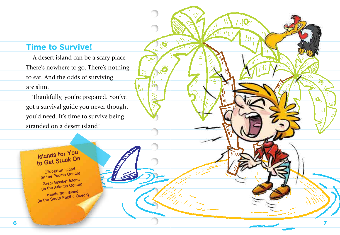### **Time to Survive!**

A desert island can be a scary place. There's nowhere to go. There's nothing to eat. And the odds of surviving are slim.

O

Thankfully, you're prepared. You've got a survival guide you never thought you'd need. It's time to survive being stranded on a desert island!

**7**

# **Islands for You<br>to Get Stuck On**<br>Clipperton Island

(in the Pacific Ocean)<br>Great Blasket Island<br>(in the Atlantic Ocean)<br>(in the South Pacific Ocean)